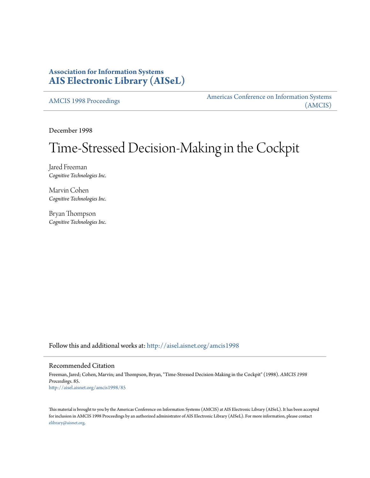# **Association for Information Systems [AIS Electronic Library \(AISeL\)](http://aisel.aisnet.org?utm_source=aisel.aisnet.org%2Famcis1998%2F85&utm_medium=PDF&utm_campaign=PDFCoverPages)**

[AMCIS 1998 Proceedings](http://aisel.aisnet.org/amcis1998?utm_source=aisel.aisnet.org%2Famcis1998%2F85&utm_medium=PDF&utm_campaign=PDFCoverPages)

[Americas Conference on Information Systems](http://aisel.aisnet.org/amcis?utm_source=aisel.aisnet.org%2Famcis1998%2F85&utm_medium=PDF&utm_campaign=PDFCoverPages) [\(AMCIS\)](http://aisel.aisnet.org/amcis?utm_source=aisel.aisnet.org%2Famcis1998%2F85&utm_medium=PDF&utm_campaign=PDFCoverPages)

December 1998

# Time-Stressed Decision-Making in the Cockpit

Jared Freeman *Cognitive Technologies Inc.*

Marvin Cohen *Cognitive Technologies Inc.*

Bryan Thompson *Cognitive Technologies Inc.*

Follow this and additional works at: [http://aisel.aisnet.org/amcis1998](http://aisel.aisnet.org/amcis1998?utm_source=aisel.aisnet.org%2Famcis1998%2F85&utm_medium=PDF&utm_campaign=PDFCoverPages)

## Recommended Citation

Freeman, Jared; Cohen, Marvin; and Thompson, Bryan, "Time-Stressed Decision-Making in the Cockpit" (1998). *AMCIS 1998 Proceedings*. 85. [http://aisel.aisnet.org/amcis1998/85](http://aisel.aisnet.org/amcis1998/85?utm_source=aisel.aisnet.org%2Famcis1998%2F85&utm_medium=PDF&utm_campaign=PDFCoverPages)

This material is brought to you by the Americas Conference on Information Systems (AMCIS) at AIS Electronic Library (AISeL). It has been accepted for inclusion in AMCIS 1998 Proceedings by an authorized administrator of AIS Electronic Library (AISeL). For more information, please contact [elibrary@aisnet.org.](mailto:elibrary@aisnet.org%3E)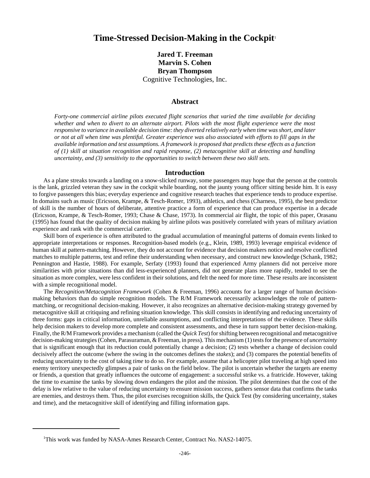## **Time-Stressed Decision-Making in the Cockpit**<sup>1</sup>

## **Jared T. Freeman Marvin S. Cohen Bryan Thompson** Cognitive Technologies, Inc.

#### **Abstract**

*Forty-one commercial airline pilots executed flight scenarios that varied the time available for deciding whether and when to divert to an alternate airport. Pilots with the most flight experience were the most responsive to variance in available decision time: they diverted relatively early when time was short, and later or not at all when time was plentiful. Greater experience was also associated with efforts to fill gaps in the available information and test assumptions. A framework is proposed that predicts these effects as a function of (1) skill at situation recognition and rapid response, (2) metacognitive skill at detecting and handling uncertainty, and (3) sensitivity to the opportunities to switch between these two skill sets.*

#### **Introduction**

As a plane streaks towards a landing on a snow-slicked runway, some passengers may hope that the person at the controls is the lank, grizzled veteran they saw in the cockpit while boarding, not the jaunty young officer sitting beside him. It is easy to forgive passengers this bias; everyday experience and cognitive research teaches that experience tends to produce expertise. In domains such as music (Ericsson, Krampe, & Tesch-Romer, 1993), athletics, and chess (Charness, 1995), the best predictor of skill is the number of hours of deliberate, attentive practice a form of experience that can produce expertise in a decade (Ericsson, Krampe, & Tesch-Romer, 1993; Chase & Chase, 1973). In commercial air flight, the topic of this paper, Orasanu (1995) has found that the quality of decision making by airline pilots was positively correlated with years of military aviation experience and rank with the commercial carrier.

Skill born of experience is often attributed to the gradual accumulation of meaningful patterns of domain events linked to appropriate interpretations or responses. Recognition-based models (e.g., Klein, 1989, 1993) leverage empirical evidence of human skill at pattern-matching. However, they do not account for evidence that decision makers notice and resolve conflicted matches to multiple patterns, test and refine their understanding when necessary, and construct new knowledge (Schank, 1982; Pennington and Hastie, 1988). For example, Serfaty (1993) found that experienced Army planners did not perceive more similarities with prior situations than did less-experienced planners, did not generate plans more rapidly, tended to see the situation as more complex, were less confident in their solutions, and felt the need for more time. These results are inconsistent with a simple recognitional model.

The *Recognition/Metacognition Framework* (Cohen & Freeman, 1996) accounts for a larger range of human decisionmaking behaviors than do simple recognition models. The R/M Framework necessarily acknowledges the role of patternmatching, or recognitional decision-making. However, it also recognizes an alternative decision-making strategy governed by metacognitive skill at critiquing and refining situation knowledge. This skill consists in identifying and reducing uncertainty of three forms: gaps in critical information, unreliable assumptions, and conflicting interpretations of the evidence. These skills help decision makers to develop more complete and consistent assessments, and these in turn support better decision-making. Finally, the R/M Framework provides a mechanism (called the *Quick Test*) for shifting between recognitional and metacognitive decision-making strategies (Cohen, Parasuraman, & Freeman, in press). This mechanism (1) tests for the presence of *uncertainty* that is significant enough that its reduction could potentially change a decision; (2) tests whether a change of decision could decisively affect the outcome (where the swing in the outcomes defines the *stakes*); and (3) compares the potential benefits of reducing uncertainty to the cost of taking *time* to do so. For example, assume that a helicopter pilot traveling at high speed into enemy territory unexpectedly glimpses a pair of tanks on the field below. The pilot is uncertain whether the targets are enemy or friends, a question that greatly influences the outcome of engagement: a successful strike vs. a fratricide. However, taking the time to examine the tanks by slowing down endangers the pilot and the mission. The pilot determines that the cost of the delay is low relative to the value of reducing uncertainty to ensure mission success, gathers sensor data that confirms the tanks are enemies, and destroys them. Thus, the pilot exercises recognition skills, the Quick Test (by considering uncertainty, stakes and time), and the metacognitive skill of identifying and filling information gaps.

<sup>&</sup>lt;sup>1</sup>This work was funded by NASA-Ames Research Center, Contract No. NAS2-14075.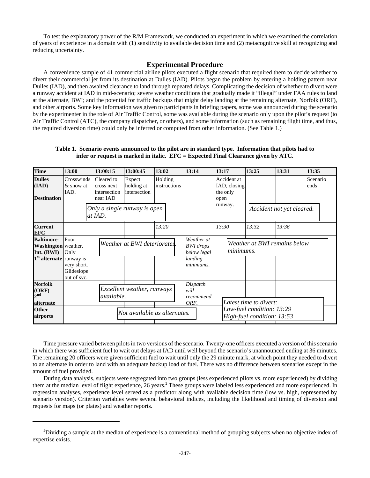To test the explanatory power of the R/M Framework, we conducted an experiment in which we examined the correlation of years of experience in a domain with (1) sensitivity to available decision time and (2) metacognitive skill at recognizing and reducing uncertainty.

### **Experimental Procedure**

A convenience sample of 41 commercial airline pilots executed a flight scenario that required them to decide whether to divert their commercial jet from its destination at Dulles (IAD). Pilots began the problem by entering a holding pattern near Dulles (IAD), and then awaited clearance to land through repeated delays. Complicating the decision of whether to divert were a runway accident at IAD in mid-scenario; severe weather conditions that gradually made it "illegal" under FAA rules to land at the alternate, BWI; and the potential for traffic backups that might delay landing at the remaining alternate, Norfolk (ORF), and other airports. Some key information was given to participants in briefing papers, some was announced during the scenario by the experimenter in the role of Air Traffic Control, some was available during the scenario only upon the pilot's request (to Air Traffic Control (ATC), the company dispatcher, or others), and some information (such as remaining flight time, and thus, the required diversion time) could only be inferred or computed from other information. (See Table 1.)

#### **Table 1. Scenario events announced to the pilot are in standard type. Information that pilots had to infer or request is marked in italic. EFC = Expected Final Clearance given by ATC.**

| <b>Time</b>                                               | 13:00                                    | 13:00:15                                             | 13:00:45                                                                      | 13:02                                 | 13:14                | 13:17                                           | 13:25                                                   | 13:31                     | 13:35            |  |
|-----------------------------------------------------------|------------------------------------------|------------------------------------------------------|-------------------------------------------------------------------------------|---------------------------------------|----------------------|-------------------------------------------------|---------------------------------------------------------|---------------------------|------------------|--|
| <b>Dulles</b><br>(IAD)<br><b>Destination</b>              | Crosswinds<br>$&$ snow at<br>IAD.        | Cleared to<br>cross next<br>intersection<br>near IAD | Expect<br>holding at<br>intersection                                          | Holding<br>instructions               |                      | Accident at<br>IAD, closing<br>the only<br>open |                                                         |                           | Scenario<br>ends |  |
|                                                           |                                          | Only a single runway is open<br>at IAD.              |                                                                               |                                       |                      | runway.                                         |                                                         | Accident not yet cleared. |                  |  |
| <b>Current</b><br><b>EFC</b>                              |                                          |                                                      |                                                                               | 13:20                                 |                      | 13:30                                           | 13:32                                                   | 13:36                     |                  |  |
| <b>Baltimore-</b><br>Washington weather.<br>Int. (BWI)    | Poor<br>Only                             |                                                      | Weather at<br>Weather at BWI deteriorates.<br><b>BWI</b> drops<br>below legal |                                       |                      | Weather at BWI remains below<br>lminimums.      |                                                         |                           |                  |  |
| $1st$ alternate runway is                                 | very short.<br>Glideslope<br>out of svc. |                                                      |                                                                               |                                       | landing<br>minimums. |                                                 |                                                         |                           |                  |  |
| <b>Norfolk</b><br>(ORF)<br>$2^{\mathrm{nd}}$<br>alternate |                                          | Excellent weather, runways<br><i>available.</i>      |                                                                               | Dispatch<br>will<br>recommend<br>ORF. |                      | Latest time to divert:                          |                                                         |                           |                  |  |
| <b>Other</b><br>airports                                  |                                          | Not available as alternates.                         |                                                                               |                                       |                      |                                                 | Low-fuel condition: 13:29<br>High-fuel condition: 13:53 |                           |                  |  |

Time pressure varied between pilots in two versions of the scenario. Twenty-one officers executed a version of this scenario in which there was sufficient fuel to wait out delays at IAD until well beyond the scenario's unannounced ending at 36 minutes. The remaining 20 officers were given sufficient fuel to wait until only the 29 minute mark, at which point they needed to divert to an alternate in order to land with an adequate backup load of fuel. There was no difference between scenarios except in the amount of fuel provided.

During data analysis, subjects were segregated into two groups (less experienced pilots vs. more experienced) by dividing them at the median level of flight experience, 26 years.<sup>2</sup> These groups were labeled less experienced and more experienced. In regression analyses, experience level served as a predictor along with available decision time (low vs. high, represented by scenario version). Criterion variables were several behavioral indices, including the likelihood and timing of diversion and requests for maps (or plates) and weather reports.

 $2$ Dividing a sample at the median of experience is a conventional method of grouping subjects when no objective index of expertise exists.